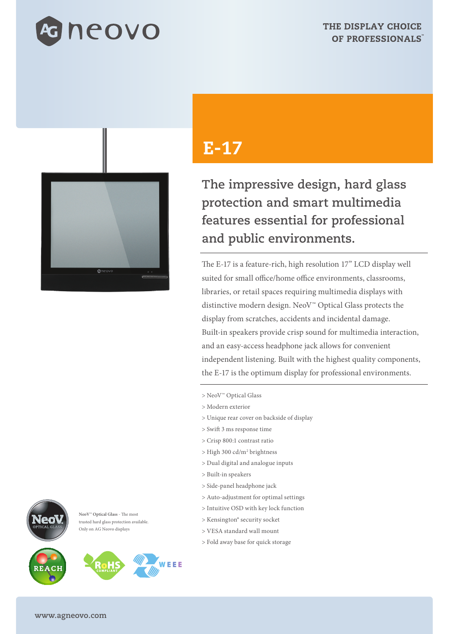



## ലറ

**NeoV™ Optical Glass** - The most trusted hard glass protection available. Only on AG Neovo displays





**WEEE** 

## E-17

**The impressive design, hard glass protection and smart multimedia features essential for professional and public environments.**

The E-17 is a feature-rich, high resolution 17" LCD display well suited for small office/home office environments, classrooms, libraries, or retail spaces requiring multimedia displays with distinctive modern design. NeoV™ Optical Glass protects the display from scratches, accidents and incidental damage. Built-in speakers provide crisp sound for multimedia interaction, and an easy-access headphone jack allows for convenient independent listening. Built with the highest quality components, the E-17 is the optimum display for professional environments.

- > NeoV™ Optical Glass
- > Modern exterior
- > Unique rear cover on backside of display
- > Swift 3 ms response time
- > Crisp 800:1 contrast ratio
- > High 300 cd/m2 brightness
- > Dual digital and analogue inputs
- > Built-in speakers
- > Side-panel headphone jack
- > Auto-adjustment for optimal settings
- > Intuitive OSD with key lock function
- > Kensington® security socket
- > VESA standard wall mount
- > Fold away base for quick storage